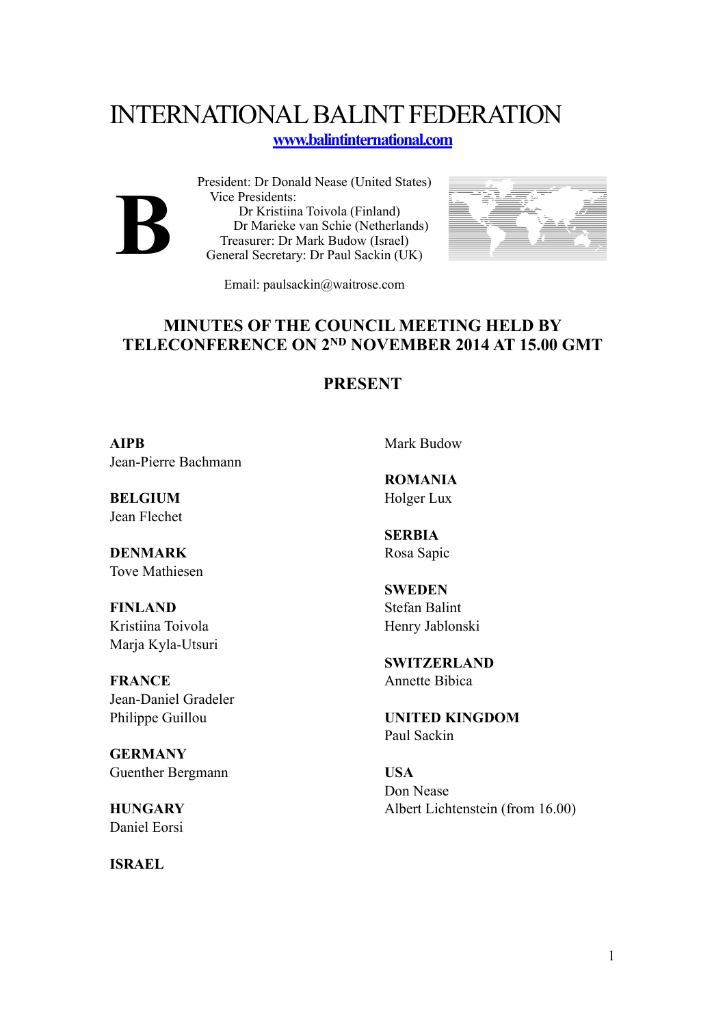## INTERNATIONAL BALINT FEDERATION

## **[www.balintinternational.com](http://www.balintinternational.com)**



President: Dr Donald Nease (United States) Vice Presidents: Dr Kristiina Toivola (Finland) Dr Marieke van Schie (Netherlands) Treasurer: Dr Mark Budow (Israel) General Secretary: Dr Paul Sackin (UK)



Email: paulsackin@waitrose.com

## **MINUTES OF THE COUNCIL MEETING HELD BY TELECONFERENCE ON 2ND NOVEMBER 2014 AT 15.00 GMT**

## **PRESENT**

**AIPB** Jean-Pierre Bachmann

**BELGIUM** Jean Flechet

**DENMARK** Tove Mathiesen

**FINLAND** Kristiina Toivola Marja Kyla-Utsuri

**FRANCE** Jean-Daniel Gradeler Philippe Guillou

**GERMANY** Guenther Bergmann

**HUNGARY** Daniel Eorsi

**ISRAEL**

Mark Budow

**ROMANIA** Holger Lux

**SERBIA** Rosa Sapic

**SWEDEN** Stefan Balint Henry Jablonski

**SWITZERLAND** Annette Bibica

**UNITED KINGDOM** Paul Sackin

**USA** Don Nease Albert Lichtenstein (from 16.00)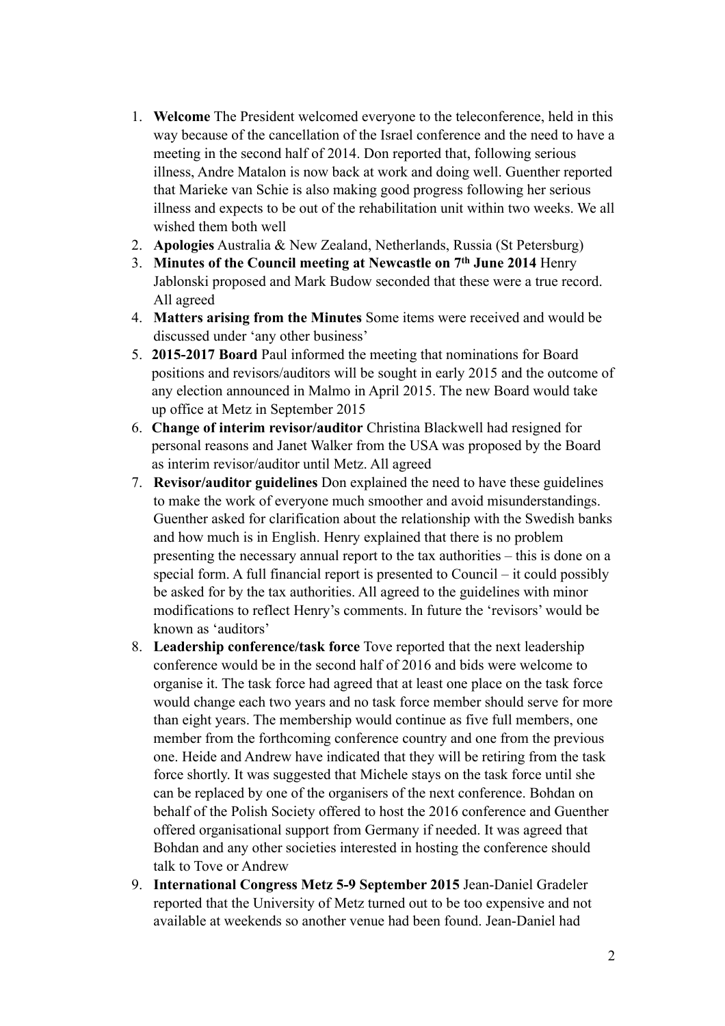- 1. **Welcome** The President welcomed everyone to the teleconference, held in this way because of the cancellation of the Israel conference and the need to have a meeting in the second half of 2014. Don reported that, following serious illness, Andre Matalon is now back at work and doing well. Guenther reported that Marieke van Schie is also making good progress following her serious illness and expects to be out of the rehabilitation unit within two weeks. We all wished them both well
- 2. **Apologies** Australia & New Zealand, Netherlands, Russia (St Petersburg)
- 3. **Minutes of the Council meeting at Newcastle on 7th June 2014** Henry Jablonski proposed and Mark Budow seconded that these were a true record. All agreed
- 4. **Matters arising from the Minutes** Some items were received and would be discussed under 'any other business'
- 5. **2015-2017 Board** Paul informed the meeting that nominations for Board positions and revisors/auditors will be sought in early 2015 and the outcome of any election announced in Malmo in April 2015. The new Board would take up office at Metz in September 2015
- 6. **Change of interim revisor/auditor** Christina Blackwell had resigned for personal reasons and Janet Walker from the USA was proposed by the Board as interim revisor/auditor until Metz. All agreed
- 7. **Revisor/auditor guidelines** Don explained the need to have these guidelines to make the work of everyone much smoother and avoid misunderstandings. Guenther asked for clarification about the relationship with the Swedish banks and how much is in English. Henry explained that there is no problem presenting the necessary annual report to the tax authorities – this is done on a special form. A full financial report is presented to Council – it could possibly be asked for by the tax authorities. All agreed to the guidelines with minor modifications to reflect Henry's comments. In future the 'revisors' would be known as 'auditors'
- 8. **Leadership conference/task force** Tove reported that the next leadership conference would be in the second half of 2016 and bids were welcome to organise it. The task force had agreed that at least one place on the task force would change each two years and no task force member should serve for more than eight years. The membership would continue as five full members, one member from the forthcoming conference country and one from the previous one. Heide and Andrew have indicated that they will be retiring from the task force shortly. It was suggested that Michele stays on the task force until she can be replaced by one of the organisers of the next conference. Bohdan on behalf of the Polish Society offered to host the 2016 conference and Guenther offered organisational support from Germany if needed. It was agreed that Bohdan and any other societies interested in hosting the conference should talk to Tove or Andrew
- 9. **International Congress Metz 5-9 September 2015** Jean-Daniel Gradeler reported that the University of Metz turned out to be too expensive and not available at weekends so another venue had been found. Jean-Daniel had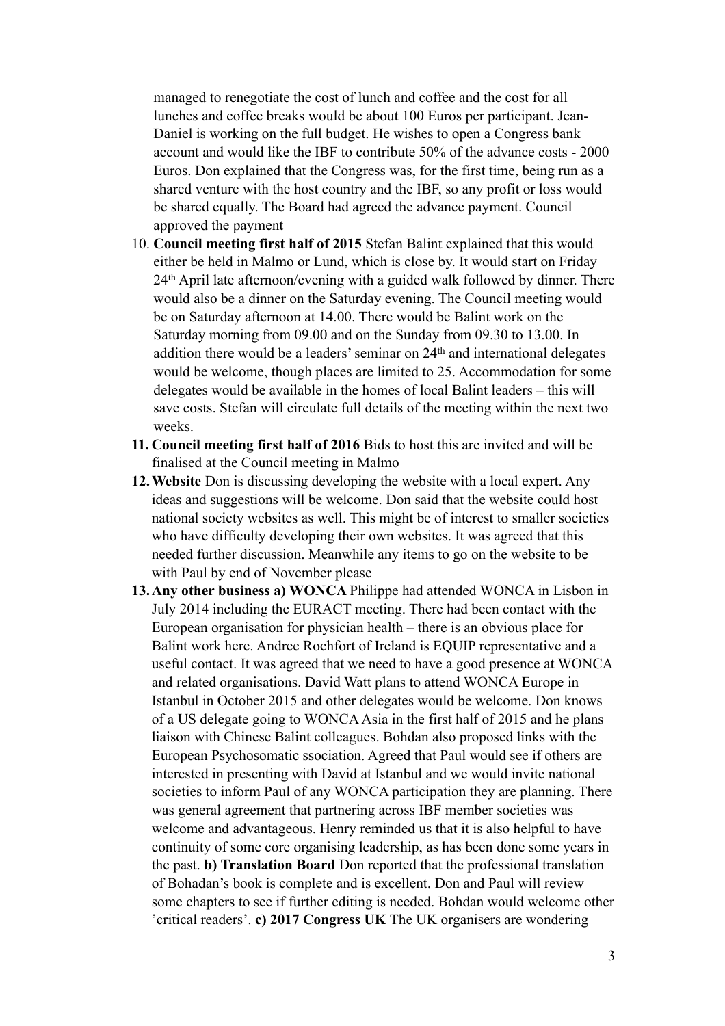managed to renegotiate the cost of lunch and coffee and the cost for all lunches and coffee breaks would be about 100 Euros per participant. Jean-Daniel is working on the full budget. He wishes to open a Congress bank account and would like the IBF to contribute 50% of the advance costs - 2000 Euros. Don explained that the Congress was, for the first time, being run as a shared venture with the host country and the IBF, so any profit or loss would be shared equally. The Board had agreed the advance payment. Council approved the payment

- 10. **Council meeting first half of 2015** Stefan Balint explained that this would either be held in Malmo or Lund, which is close by. It would start on Friday 24th April late afternoon/evening with a guided walk followed by dinner. There would also be a dinner on the Saturday evening. The Council meeting would be on Saturday afternoon at 14.00. There would be Balint work on the Saturday morning from 09.00 and on the Sunday from 09.30 to 13.00. In addition there would be a leaders' seminar on 24th and international delegates would be welcome, though places are limited to 25. Accommodation for some delegates would be available in the homes of local Balint leaders – this will save costs. Stefan will circulate full details of the meeting within the next two weeks.
- **11. Council meeting first half of 2016** Bids to host this are invited and will be finalised at the Council meeting in Malmo
- **12.Website** Don is discussing developing the website with a local expert. Any ideas and suggestions will be welcome. Don said that the website could host national society websites as well. This might be of interest to smaller societies who have difficulty developing their own websites. It was agreed that this needed further discussion. Meanwhile any items to go on the website to be with Paul by end of November please
- **13.Any other business a) WONCA** Philippe had attended WONCA in Lisbon in July 2014 including the EURACT meeting. There had been contact with the European organisation for physician health – there is an obvious place for Balint work here. Andree Rochfort of Ireland is EQUIP representative and a useful contact. It was agreed that we need to have a good presence at WONCA and related organisations. David Watt plans to attend WONCA Europe in Istanbul in October 2015 and other delegates would be welcome. Don knows of a US delegate going to WONCA Asia in the first half of 2015 and he plans liaison with Chinese Balint colleagues. Bohdan also proposed links with the European Psychosomatic ssociation. Agreed that Paul would see if others are interested in presenting with David at Istanbul and we would invite national societies to inform Paul of any WONCA participation they are planning. There was general agreement that partnering across IBF member societies was welcome and advantageous. Henry reminded us that it is also helpful to have continuity of some core organising leadership, as has been done some years in the past. **b) Translation Board** Don reported that the professional translation of Bohadan's book is complete and is excellent. Don and Paul will review some chapters to see if further editing is needed. Bohdan would welcome other 'critical readers'. **c) 2017 Congress UK** The UK organisers are wondering